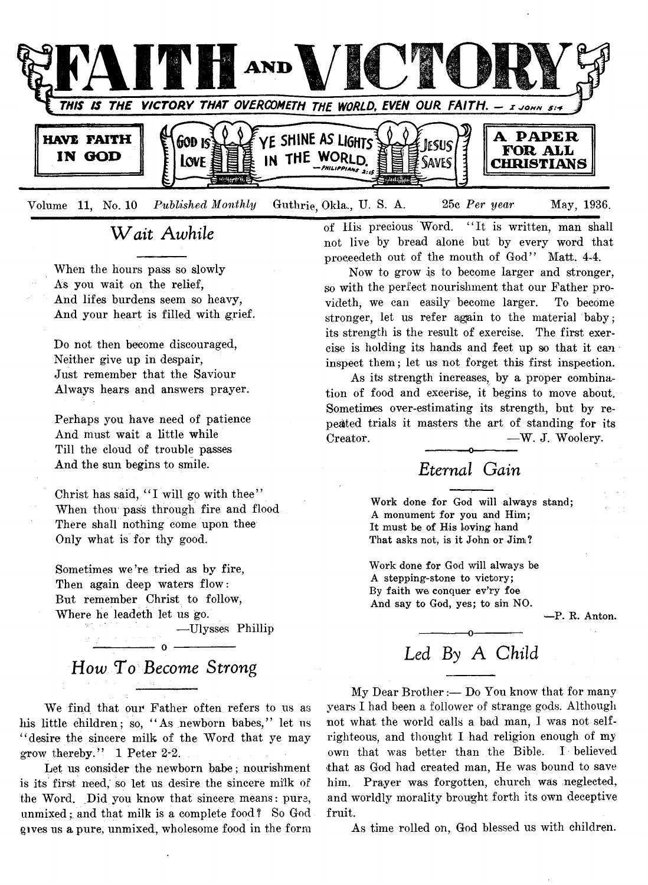

**Volume 11, No. 10** *Published Monthly* **Guthrie, Okla., U. S. A. 25c** *Per year* **May, 1936.**

### *Wait Awhile*

**When the hours pass so slowly As you wait on the relief, And lifes burdens seem so heavy, And your heart is filled with grief.**

Do not then become discouraged, **Neither give up in despair, Just remember that the Saviour Always hears and answers prayer.**

**Perhaps you have need of patience And must wait a little while Till the cloud of trouble passes And the sun begins to smile.**

**Christ has said, " I will go with thee" When thou pass through fire and flood There shall nothing come upon thee Only what is for thy good.**

**Sometimes we're tried as by fire, Then again deep waters flow: But remember Christ to follow, Where he leadeth let us go.**

**— Ulysses Phillip**

**------------------ o -------------------** *How To Become Strong*

We find that our Father often refers to us as **his little children; so, " As newborn babes," let us " desire the sincere milk of the Word that ye may grow thereby." 1 Peter 2-2.**

**Let us consider the newborn babe; nourishment is its first need,' so let us desire the sincere milk of the Word. Did you know that sincere means: pure, unmixed;. and that milk is a complete food ? So God gives us a pure, unmixed, wholesome food in the form**

**of His precious Word. " It is written, man shall not live by bread alone but by every word that proceedeth out of the mouth of God" Matt. 4-4.**

**Now to grow is to become larger and stronger,** so with the perfect nourishment that our Father pro**videth, we can easily become larger. To become stronger, let us refer again to the material baby; its strength is the result of exercise. The first exercise is holding its hands and feet up so that it can inspect them; let us not forget this first inspection.**

**As its strength increases, by a proper combination of food and excerise, it begins to move about. Sometimes over-estimating its strength, but by repeated trials it masters the art of standing for its** Creator. — W. J. Woolery.

### **----------—o-------------** *Eternal Gain*

Work done for God will always stand; A monument for you and Him; It must be of His loving hand That asks not, is it John or Jim?

Work done for God will always be A stepping-stone to victory; By faith we conquer ev'ry foe And say to God, yes; to sin NO.

-P. R. Anton.

# *Led By A Child*

**My Dear Brother:— Do You know that for many years I had been a follower of strange gods. Although not what the world calls a bad man, I was not selfrighteous, and thought I had religion enough of my own that was better than the Bible. I believed that as God had created man, He was bound to save him. Prayer was forgotten, church was neglected, and worldly morality brought forth its own deceptive fruit.**

**As time rolled on, God blessed us with children.**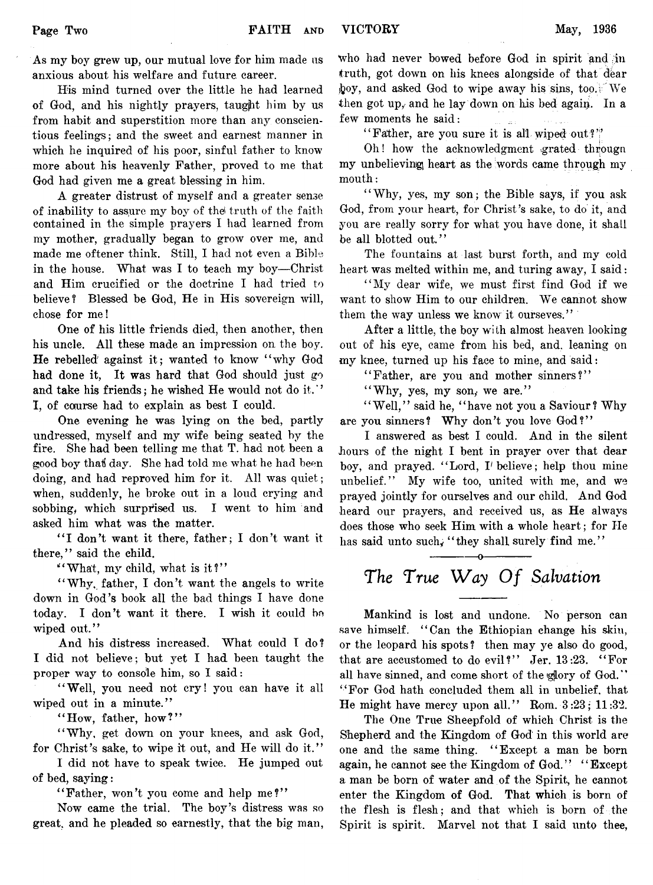**As my boy grew up, our mutual love for him made us anxious about his welfare and future career.**

**His mind turned over the little he had learned of God, and his nightly prayers, taugjht him by us from habit and superstition more than any conscientious feelings; and the sweet and earnest manner in which he inquired of his poor, sinful father to know more about his heavenly Father, proved to me that God had given me a great blessing in him.**

**A greater distrust of myself and a greater sense of inability to assure my boy of the' truth of the faith contained in the simple prayers I had learned from my mother, gradually began to grow over me, and made me oftener think. Still, I had not even a Bible in the house. What was I to teach my boy— Christ and Him crucified or the doctrine I had tried to believe? Blessed be God, He in His sovereign will, chose for me!**

**One of his little friends died, then another, then his uncle. All these made an impression on the boy. He rebelled against it; wanted to know " why God had done it, It was hard that God should just go and take his friends; he wished He would not do it. ' ' I, of course had to explain as best I could.**

**One evening he was lying on the bed, partly undressed, myself and my wife being seated by the fire. She had been telling me that T. had not been a good boy thaf day. She had told me what he had been doing, and had reproved him for it. All was quiet; when, suddenly, he broke out in a loud crying and** sobbing, which surprised us. I went to him and **asked him what was the matter.**

**" I don't want it there, father; I don't want it there," said the child.**

**" What, my child, what is it?"**

**" Why, father, I don't want the angels to write down in God's book all the bad things I have done today. I don't want it there. I wish it could bo wiped out."**

**And his distress increased. What could I do? I did not believe; but yet I had been taught the proper way to console him, so I said:**

"Well, you need not cry! you can have it all **wiped out in a minute."**

**" How, father, how ?"**

**" Why, get down on your knees, and ask God, for Christ's sake, to wipe it out, and He will do it."**

**I did not have to speak twice. He jumped out of bed, saying:**

"Father, won't you come and help me?"

**Now came the trial. The boy's distress was so great, and he pleaded so earnestly, that the big man,** **Who had never bowed before God in spirit and in truth, got down on his knees alongside of that dear hoy, and asked God to wipe away his sins, too.** We **then got up, and he lay down on his bed agaip. In a few moments he said:**

**" Father, are you sure it is all wiped out?'!'**

**Oh! how the acknowledgment .grated througri my unbelieving heart as the words came through my mouth:**

**" Why, yes, my son; the Bible says, if you ask God, from your heart, for Christ's sake, to do it, and** you are really sorry for what you have done, it shall **be all blotted out."**

**The fountains at last burst forth, and my cold heart was melted within me, and turing away, I said:**

**" My dear wife, we must first find God if we want to show Him to our children. We cannot show them the way unless we know it ourseves."**

**After a little, the boy with almost heaven looking out of his eye, came from his bed, and, leaning on my knee, turned up his face to mine, and said:**

**" Father, are you and mother sinners?"**

"Why, yes, my son, we are."

"Well," said he, "have not you a Saviour? Why are you sinners? Why don't you love God?"

**I answered as best I could. And in the silent hours of the night I bent in prayer over that dear boy, and prayed. " Lord, T believe; help thou mine unbelief." My wife too, united with me, and we prayed jointly for ourselves and our child. And God heard our prayers, and received us, as He always does those who seek Him with a whole heart; for He** has said unto such, "they shall surely find me."

# --------------o-------------- The True Way Of Salvation

**Mankind is lost and undone. No person can save himself. " Can the Ethiopian change his skin, or the leopard his spots ? then may ye also do good, that are accustomed to do evil?" Jer. 13:23. " For** all have sinned, and come short of the glory of God." **" For God hath concluded them all in unbelief, that He might have mercy upon all." Rom. 3 :23; 1 1 :32.**

**The One True Sheepfold of which Christ is the Shepherd and the Kingdom of God in this world are one and the same thing. " Except a man be born again, he cannot see the Kingdom of God. " " Except a man be born of water and of the Spirit, he cannot enter the Kingdom of God. That which is born of the flesh is flesh; and that which is born of the Spirit is spirit. Marvel not that I said unto thee,**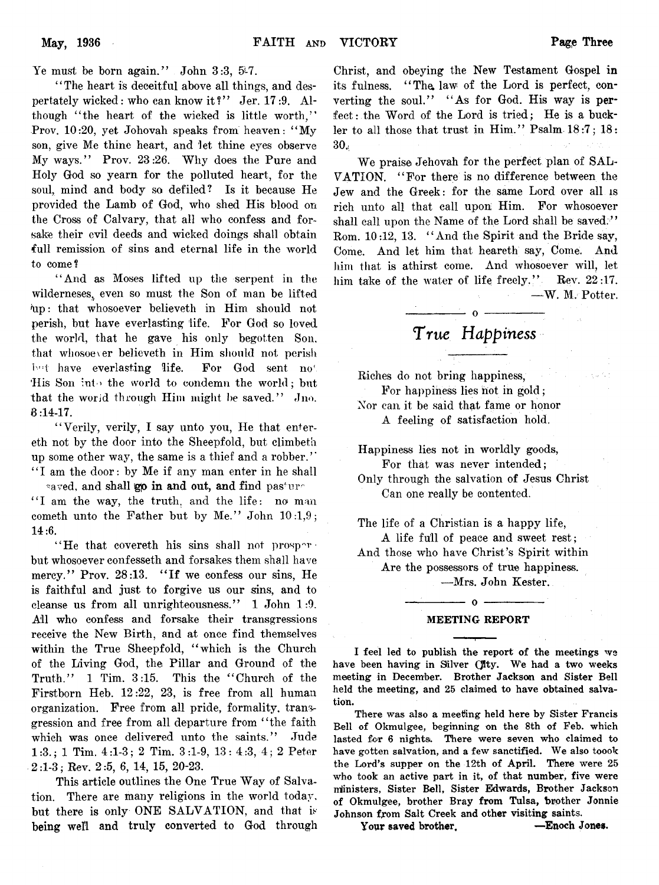**Ye must be born again." John 3:3, 5j-7.**

**' ' The heart is deceitful above all things, and des**pertately wicked: who can know it?" Jer. 17:9. Although "the heart of the wicked is little worth." **Prov. 10:20, yet Johovah speaks from heaven: " My son, give Me thine heart, and let thine eyes observe** My ways." Prov. 23:26. Why does the Pure and **Holy God so yearn for the polluted heart, for the soul, mind and body so defiled? Is it because He provided the Lamb of God, who shed His blood on the Cross of Calvary, that all who confess and forsake their evil deeds and wicked doings shall obtain full remission of sins and eternal life in the world to come ?**

**" And as Moses lifted up the serpent in the wilderneses^ even so must the Son of man be lifted Tip: that whosoever believeth in Him should not perish, but have everlasting life. For God so loved the world, that he gave his only begotten Son, that whosoever believeth in Him should not perish** bot have everlasting life. For God sent no<sup>\*</sup> His Son into the world to condemn the world; but that the world through Him might be saved." Jno. **8 :14-17.**

**" Verily, verily, I say unto you, He that entereth not by the door into the Sheepfold, but climbeth up some other way, the same is a thief and a robber.7' ' ' I am the door: by Me if any man enter in he shall \*aved, and shall go in and out, and find pas**\*ur-

**" I am the way, the truth, and the life: no man** cometh unto the Father but by Me." John 10:1,9; **14:6.**

"He that covereth his sins shall not prosper**but whosoever confesseth and forsakes them shall have mercy." Prov. 28:13. " If we confess our sins, He is faithful and just to forgive us our sins, and to cleanse us from all unrighteousness." 1 John 1:9. All who confess and forsake their transgressions receive the New Birth, and at once find themselves within the True Sheepfold, " which is the Church of the Living God, the Pillar and Ground of the Truth.77 1 Tim. 3:15. This the " Church of the** Firstborn Heb. 12:22, 23, is free from all human **organization. Free from all pride, formality, transgression and free from all departure from " the faith which was once delivered unto the saints.77 Jude 1 :3 .; 1 Tim. 4:1 -3 ; 2 Tim. 3:1-9, 13: 4 :3, 4 ; 2 Peter 2 :l-3 ; Rev. 2 :5, 6, 14, 15, 20-23.**

This article outlines the One True Way of Salva**tion. There are many religions in the world today,** but there is only ONE SALVATION, and that is **being well and truly converted to God through**

**Christ, and obeying the New Testament Gospel in** its fulness. "The law of the Lord is perfect, converting the soul." "As for God. His way is per**fect: the Word of the Lord is tried; He is a buck**ler to all those that trust in Him." Psalm 18:7; 18: **30;**

We praise Jehovah for the perfect plan of SAL-**VATION. " For there is no difference between the Jew and the Greek: for the same Lord over all is rich unto all that call upon; Him. For whosoever** shall call upon the Name of the Lord shall be saved.<sup>77</sup> **Rom. 10:12, 13. " And the Spirit and the Bride say, Come. And let him that heareth say, Come. And him that is athirst come. And whosoever will, let him take of the water of life freely. " Rev. 22:17. — W . M. Potter.**

## **----------------— o ------- :--------—** True *Happiness*

**Riches do not bring happiness, For happiness lies hot in gold ; Nor can it be said that fame or honor A feeling of satisfaction hold.**

**Happiness lies not in worldly goods, For that was never intended;**

**Only through the salvation of Jesus Christ Can one really be contented.**

**The life of a Christian is a happy life,**

**A life full of peace and sweet rest; And those who have Christ's Spirit within**

**Are the possessors of true happiness.**

**— Mrs. John Kester.**

### **— ------------- o ------------------- MEETING REPORT**

I feel led to publish the report of the meetings we have been having in Silver (Ity. We had a two weeks meeting in December. Brother Jackson and Sister Bell held the meeting, and 25 claimed to have obtained salvation.

There was also a meeting held here by Sister Francis Bell of Okmulgee, beginning on the 8th of Feb. which lasted for 6 nights. There were seven who claimed to have gotten salvation, and a few sanctified. We also toook the Lord's supper on the 12th of April. There were 25 who took an active part in it, of that number, five were ministers, Sister Bell, Sister Edwards, Brother Jackson of Okmulgee, brother Bray from Tulsa, brother Jonnie Johnson from Salt Creek and other visiting saints.

Your saved brother, - Finoch Jones.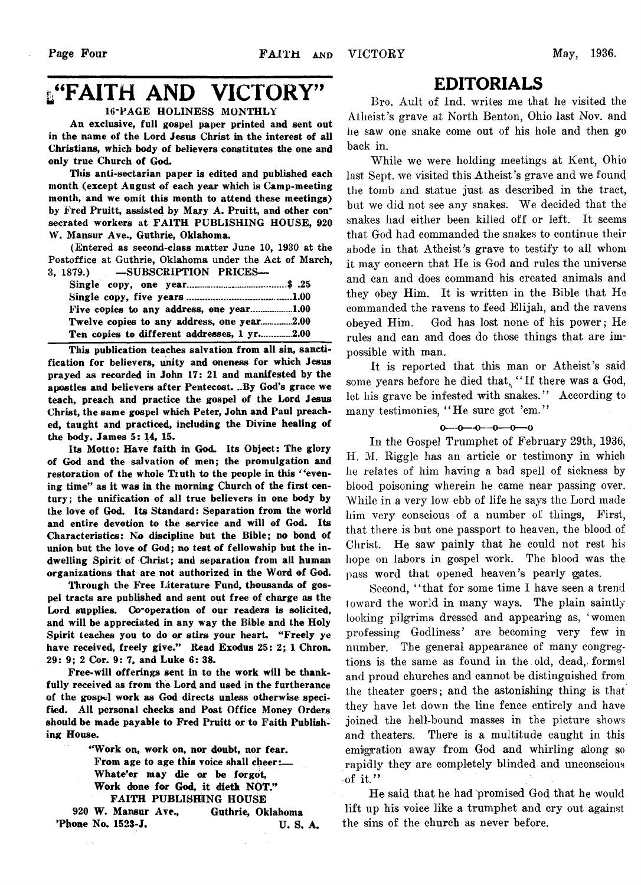# **L'EAITH AND VICTORY"**

### **16-PAGE HOLINESS MONTHLY**

**An exclusive, full gospel paper printed and sent out in the name of the Lord Jesus Christ in the interest of all Christians, which body of believers constitutes the one and only true Church of God.**

**This anti-sectarian paper is edited and published each month (except August of each year which is Camp-meeting month, and we omit this month to attend these meetings) by Fred Pruitt, assisted by Mary A. Pruitt, and other consecrated workers at FAITH PUBLISHING HOUSE, 920 W. Mansur Ave., Guthrie, Oklahoma.**

**(Entered as second-class matter June 10, 1930 at the Postoffice at Guthrie, Oklahoma under the Act of March, 3, 1879.) —SUBSCRIPTION PRICES—**

| Twelve copies to any address, one year2.00  |  |
|---------------------------------------------|--|
| Ten copies to different addresses, 1 yr2.00 |  |

**This publication teaches salvation from all sin, sanctification for believers, unity and oneness for which Jesus prayed as recorded in John 17: 21 and manifested by the apostles and believers after Pentecost. ..By God's grace we teach, preach and practice the gospel of the Lord Jesus Christ, the same gospel which Peter, John and Paul preached, taught and practiced, including the Divine healing of the body. James 5: 14, 15.**

**Its Motto: Have faith in God. Its Object: The glory of God and the salvation of men; the promulgation and restoration of the whole Truth to the people in this " evening time" as it was in the morning Church of the first century; the unification of all true believers in one body by the love of God. Its Standard: Separation from the world and entire devotion to the service and will of God. Its Characteristics: No discipline but the Bible; no bond of union but the love of God; no test of fellowship but the indwelling Spirit of Christ; and separation from all human organizations that are not authorized in the Word of God.**

**Through the Free Literature Fund, thousands of gospel tracts are published and sent out free of charge as the Lord supplies. Go-operation of our readers is solicited, and will be appreciated in any way the Bible and the Holy Spirit teaches you to do or stirs your heart. "Freely ye have received, freely give." Read Exodus 25: 2; 1 Chron. 29: 9; 2 Cor. 9: 7, and Luke 6: 38.**

**Free-will offerings sent in to the work will be thankfully received as from the Lord and used in the furtherance of the gospel work as God directs unless otherwise specified. All personal checks and Post Office Money Orders** should be made payable to Fred Pruitt or to Faith Publish**ing House.**

> **"Work on, work on, nor doubt, nor fear. From age to age this voice shall cheer:— Whate'er may die or be forgot, Work done for God, it dieth NOT." FAITH PUBLISHING HOUSE**

**920 W. Mansur Ave., Guthrie, Oklahoma 'Phone No. 1523-J, U. S. A.**

 $\sim$   $\sim$ 

### EDITORIALS

**Bro. Ault of Ind. writes me that he visited the Atheist 's grave at North Benton, Ohio last Nov. and he saw one snake come out of his hole and then go back in.**

**While we were holding meetings at Kent, Ohio last Sept, we visited this Atheist's grave and we found the tomb and statue just as described in the tract,** but we did not see any snakes. We decided that the **snakes had either been killed off or left. It seems that God had commanded the snakes to continue their abode in that Atheist's grave to testify to all whom it may concern that He is God and rules the universe and can and does command his created animals and they obey Him. It is written in the Bible that He commanded the ravens to feed Elijah, and the ravens obeyed Him. God has lost none of his power; He rules and can and does do those things that are impossible with man.**

**It is reported that this man or Atheist's said** some years before he died that, "If there was a God, **let his grave be infested with snakes. ' ' According to many testimonies, " He sure got 'em."**

### $0 - 0 - 0 - 0 - 0 - 0$

**In the Gospel Trumphet of February 29th, 1936, IT. M. Higgle has an article or testimony in which he relates of him having a bad spell of sickness by blood poisoning wherein he came near passing over. While in a very low ebb of life he says the Lord made him very conscious of a number of things, First, that there is but one passport to heaven, the blood of Christ. He saw painly that he could not rest his hope on labors in gospel work. The blood was the** pass word that opened heaven's pearly gates.

**Second, " that for some time I have seen a trend toward the world in many ways. The plain saintly looking pilgrimsi dressed and appearing as, 'women professing Godliness' are becoming very few in number. The general appearance of many congregtions is the same as found in the old, dead, formal and proud churches and cannot be distinguished from the theater goers; and the astonishing thing is that they have let down the line fence entirely and have joined the hell-bound masses in the picture shows and theaters. There is a multitude caught in this emigration away from God and whirling along so rapidly they are completely blinded and unconscious of it."**

**He said that he had promised God that he would lift up his voice like a trumphet and cry out against the sins of the church as never before.**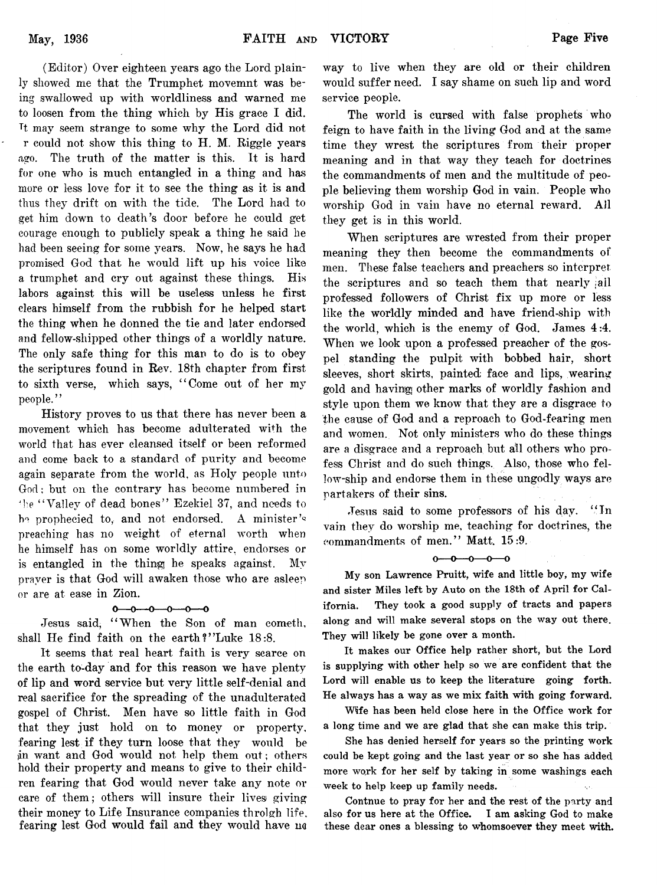**(Editor) Over eighteen years ago the Lord plain**ly showed me that the Trumphet movemnt was be**ing swallowed up with worldliness and warned me to loosen from the thing which by His grace I did. Tt may seem strange to some why the Lord did not r could not show this thing to H. M. Riggle years ago. The truth of the matter is this. It is hard for one who is much entangled in a thing and has more or less love for it to see the thing as it is and thus they drift on with the tide. The Lord had to get him down to death's door before he could get courage enough to publicly speak a thing he said he had been seeing for some years. Now, he says he had promised God that he would lift up his voice like a trumphet and cry out against these things. His labors against this will be useless unless he first clears himself from the rubbish for he helped start the thing when he donned the tie and later endorsed and fellow-shipped other things of a worldly nature. The only safe thing for this man to do is to obey the scriptures found in Rev. 18th chapter from first to sixth verse, which says, " Come out of her my people.7'**

**History proves to us that there has never been a movement which has become adulterated with the world that has ever cleansed itself or been reformed and come back to a standard of purity and become again separate from the world, as Holy people unto God; but on the contrary has become numbered in ■he " Valley of dead bones" Ezekiel 37, and needs to ho prophecied to, and not endorsed. A minister preaching has no weight of eternal worth when he himself has on some worldly attire, endorses or is entangled in the thing! he speaks against. My prayer is that God will awaken those who are asleep or are at ease in Zion.**

### $0 - 0 - 0 - 0 - 0$

**Jesus said, " When the Son of man cometh, shall He find faith on the earth?' 'Luke 18:8.**

**It seems that real heart faith is very scarce on the earth to-day and for this reason we have plenty of lip and word service but very little self-denial and real sacrifice for the spreading of the unadulterated gospel of Christ. Men have so little faith in God that they just hold on to money or property, fearing lest if they turn loose that they would be jn want and God would not help them out; others hold their property and means to give to their children fearing that God would never take any note or care of them; others will insure their lives giving their money to Life Insurance companies throlgh life, fearing lest God would fail and they would have no**

**way to live when they are old or their children would suffer need. I say shame on such lip and word service people.**

**The world is cursed with false prophets who feign to have faith in the living God and at the same time they wrest the scriptures from their proper meaning and in that w^ay they teach for doctrines the commandments of men and the multitude of people believing them worship God in vain. People who worship God in vain have no eternal reward. All they get is in this world.**

**When scriptures are wrested from their proper meaning they then become the commandments of men. These false teachers and preachers so interpret the scriptures and so teach them that nearly ; ail professed followers of Christ fix up more or less like the worldly minded and have friend-ship with the world, which is the enemy of God. James 4:4. When we look upon a professed preacher of the gospel standing the pulpit with bobbed hair, short sleeves, short skirts, painted; face and lips, wearing gold and having! other marks of worldly fashion and style upon them we know that they are a disgrace to the cause of God and a reproach to God-fearing men and women. Not only ministers who do these things are a disgrace and a reproach but all others who profess Christ and do such things. Also, those who fel**low-ship and endorse them in these ungodly ways are **partakers of their sins.**

**Jesus said to some professors of his day. " In vain they do worship me, teaching for doctrines, the commandments of men." Matt. 15:9.**

 $0 - 0 - 0 - 0$ 

My son Lawrence Pruitt, wife and little boy, my wife and sister Miles left by Auto on the 18th of April for California. They took a good supply of tracts and papers along and will make several stops on the way out there. They will likely be gone over a month.

It makes our Office help rather short, but the Lord is supplying with other help so we are confident that the Lord will enable us to keep the literature going forth. He always has a way as we mix faith with going forward.

Wife has been held close here in the Office work for a long time and we are glad that she can make this trip.

She has denied herself for years so the printing work could be kept going and the last year or so she has added more work for her self by taking in some washings each week to help keep up family needs.

Contnue to pray for her and the rest of the party and also for us here at the Office. I am asking God to make these dear ones a blessing to whomsoever they meet with.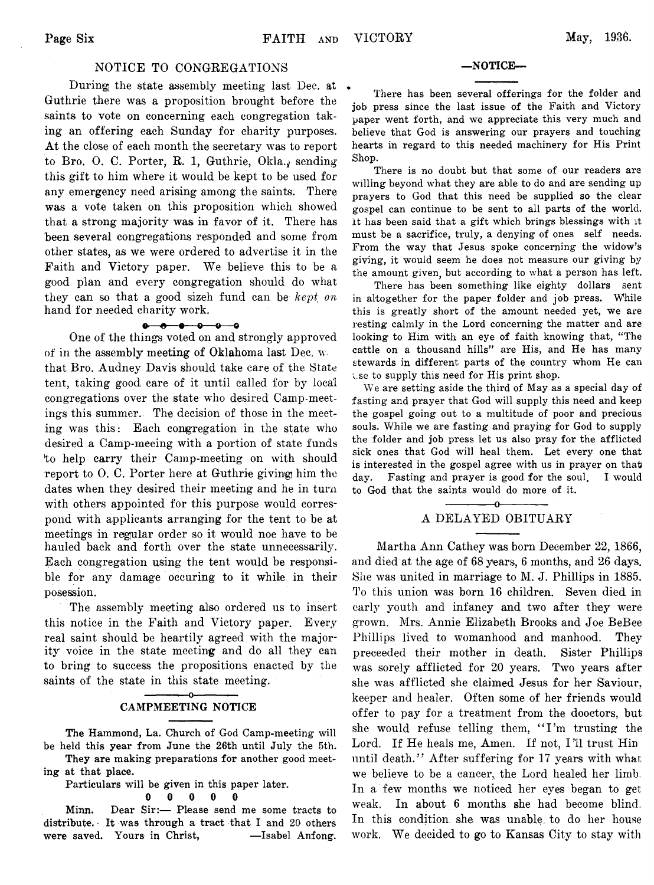### **NOTICE TO CONGREGATIONS**

**During, the state assembly meeting last Dec. at Guthrie there was a proposition brought before the saints to vote on concerning each congregation taking an offering each Sunday for charity purposes.** At the close of each month the secretary was to report to Bro. O. C. Porter, R. 1, Guthrie, Okla., sending **this gift to him where it would be kept to be used for any emergency need arising among the saints. There was a vote taken on this proposition which showed that a strong majority was in favor of it. There has been several congregations responded and some from other states, as we were ordered to advertise it in the** Faith and Victory paper. We believe this to be a **good plan and every congregation should do what they can so that a good sizeh fund can be** *kept on* **hand for needed charity work.**

#### $0 - 0 - 0 - 0 - 0$

**One of the things voted on and strongly approved of in the assembly meeting of Oklahoma last Dec. w that Bro. Audney Davis should take care of the State tent, taking good care of it until called for by local congregations over the state who desired Camp-meetings this summer. The decision of those in the meeting was this: Each congregation in the state who desired a Camp-meeing with a portion of state funds to help carry their Camp-meeting on with should** report to O. C. Porter here at Guthrie giving him the **dates when they desired their meeting and he in turn with others appointed for this purpose would correspond with applicants arranging for the tent to be at meetings in regular order so it would noe have to be hauled back and forth over the state unnecessarily. Each congregation using the tent would be responsible for any damage occuring to it while in their posession.**

**The assembly meeting also ordered us to insert this notice in the Faith and Victory paper. Every real saint should be heartily agreed with the majority voice in the state meeting and do all they can to bring to success the propositions enacted by the saints of the state in this state meeting.**

### **------------- o-------------** CAMPMEETING NOTICE

The Hammond, La. Church of God Camp-meeting will be held this year from June the 26th until July the 5th. They are making preparations for another good meet-

ing at that place.

Particulars will be given in this paper later.

### **0 0 0 0 0**

Minn. Dear Sir:— Please send me some tracts to distribute. It was through a tract that I and 20 others were saved. Yours in Christ, —Isabel Anfong.

### —NOTICE—

There has been several offerings for the folder and job press since the last issue of the Faith and Victory paper went forth, and we appreciate this very much and believe that God is answering our prayers and touching hearts in regard to this needed machinery for His Print Shop.

There is no doubt but that some of our readers are willing beyond what they are able to do and are sending up prayers to God that this need be supplied so the clear gospel can continue to be sent to all parts of the world, it has been said that a gift which brings blessings with it must be a sacrifice, truly, a denying of ones self needs. From the way that Jesus spoke concerning the widow's giving, it would seem he does not measure our giving by the amount given, but according to what a person has left.

There has been something like eighty dollars sent in altogether for the paper folder and job press. While this is greatly short of the amount needed yet, we are resting calmly in the Lord concerning the matter and are looking to Him with an eye of faith knowing that, "The cattle on a thousand hills" are His, and He has many stewards in different parts of the country whom He can i.se to supply this need for His print shop.

We are setting aside the third of May as a special day of fasting and prayer that God will supply this need and keep the gospel going out to a multitude of poor and precious souls. While we are fasting and praying for God to supply the folder and job press let us also pray for the afflicted sick ones that God will heal them. Let every one that is interested in the gospel agree with us in prayer on that day. Fasting and prayer is good for the soul. I would to God that the saints would do more of it.

### **---------------o--------------** A DELAYED OBITUARY

**Martha Ann Cathey was born December 22, 1866, and died at the age of 68 years, 6 months, and 26 days. She was united in marriage to M. J. Phillips in 1885. To this union was born 16 children. Seven died in early youth and infancy and two after they were grown. Mrs. Annie Elizabeth Brooks and Joe BeBee Phillips lived to womanhood and manhood. They preceeded their mother in death. Sister Phillips was sorely afflicted for 20 years. Two years after she was afflicted she claimed Jesus for her Saviour, keeper and healer. Often some of her friends would offer to pay for a treatment from the dooctors, but she would refuse telling them, " I 'm trusting the** Lord. If He heals me, Amen. If not, I'll trust Hin until death." After suffering for 17 years with what we believe to be a cancer, the Lord healed her limb. **In a few months we noticed her eyes began to get weak. In about 6 months she had become blind. In this condition she was unable, to do her house work. W e decided to go to Kansas City to stay with**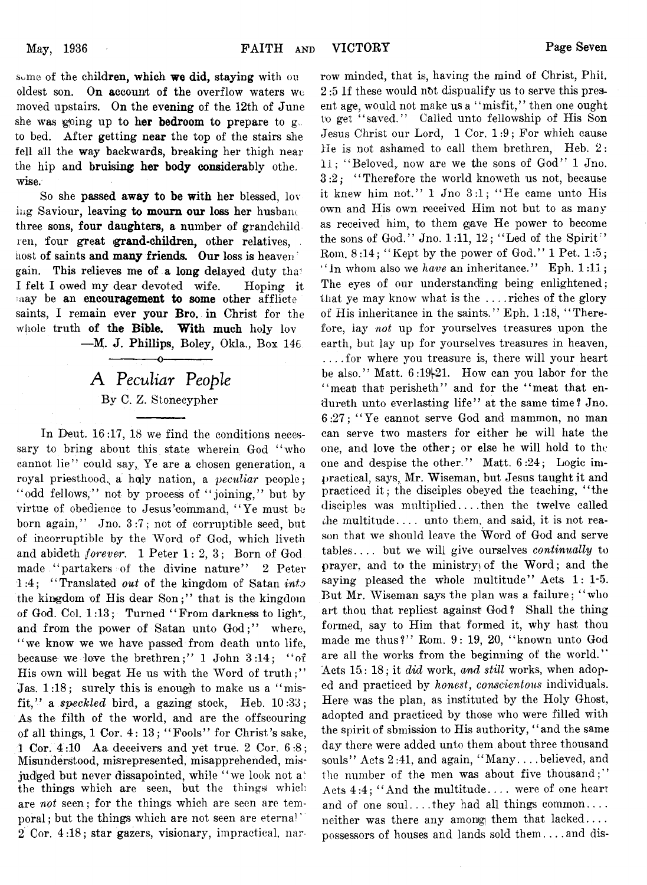**some of the children, which we did, staying with on oldest son. On account of the overflow waters wc moved upstairs. On the evening of the 12th of June she was g^oing up to her bedroom to prepare to g, to bed. After getting near the top of the stairs she fell all the way backwards, breaking her thigh near the hip and bruising her body considerably othe. wise.**

**So she passed away to be with her blessed, lov iiig Saviour, leaving to mourn our loss her husbaiu three sons, four daughters, a number of grandchild ren, four great (grand-children, other relatives,** host of saints and many friends. Our loss is heaven<sup>th</sup> **gain. This relieves me of a long delayed duty tha< I felt I owed my dear devoted wife. Hoping it may be an encouragement to some other afflicte saints, I remain ever your Bro. in Christ for the** whole truth of the Bible. With much holy lov **— M. J. Phillips, Boley, Okla., Box 146**

# A *Peculiar People* **By C. Z. Stonecypher**

**-------- -— o------------ —**

**In Deut. 16 :17, 18 we find the conditions necessary to bring about this state wherein God " who cannot lie" could say, Ye are a chosen generation, a royal priesthood^ a hojly nation, a** *peculiar* **people; " odd fellows," not by process of " joining," but by virtue of obedience to Jesus'command, " Ye must be born again," Jno. 3 :7 ; not of corruptible seed, but of incorruptible by the Word of God, which liveth and abideth** *forever.* **1 Peter 1 : 2, 3 ; Born of God made " partakers of the divine nature" 2 Peter 1 :4 ; " Translated** *out* **of the kingdom of Satan** *into* the kingdom of His dear Son;" that is the kingdom of God. Col. 1:13; Turned "From darkness to light, and from the power of Satan unto God;" where, **" we know we we have passed from death unto life,** because we love the brethren;" 1 John 3:14; "of His own will begat He us with the Word of truth;" **Jas. 1:18;** surely this is enough to make us a "misfit," a speckled bird, a gazing stock, Heb.  $10:33$ ; **As the filth of the world, and are the offscouring of all things, 1 Cor. 4 : 13; " Fools" for Christ's sake, 1 Cor. 4:10 Aa deceivers and yet true. 2 Cor. 6 :8 ; Misunderstood, misrepresented, misapprehended, mis**judged but never dissapointed, while "we look not a<sup>\*</sup> **the things which are seen, but the things/ which are** *not* **seen; for the things which are seen are temporal ; but the things which are not seen are eternal** 2 Cor. 4:18; star gazers, visionary, impractical, nar**row minded, that is, having the mind of Christ, Phil. 2 :5 If these would nbt dispualify us to serve this present age, would not make us a " misfit, ' ' then one ought to get " saved." Called unto fellowship of His Son Jesus Christ our Lord, 1 Cor. 1 :9 ; For which cause He is not ashamed to call them brethren, Heb.** *2:* **11; " Beloved, now are we the sons of God" 1 Jno. 3 :2 ; " Therefore the world knoweth us not, because it knew him not." 1 Jno 3 :1 ; " He came unto His own and His own received Him not but to as many as received him, to them gave He power to become the sons of God." Jno. 1:11, 12; " Led of the Spirit"** Rom. 8:14; "Kept by the power of God." 1 Pet. 1:5; **" in whom also we** *have* **an inheritance." Eph. 1 :11; The eyes of our understanding being enlightened; that ye may know what is the . . . .riches of the glory of His inheritance in the saints." Eph. 1:18, " Therefore, lay** *not* **up for yourselves treasures upon the earth, but lay up for yourselves treasures in heaven, .... for where you treasure is, there will your heart** be also." Matt.  $6:19|21$ . How can you labor for the **" meat that perisheth" and for the " meat that endureth unto everlasting life" at the same time? Jno. 6 :2 7 ; " Ye cannot serve God and mammon, no man can serve two masters for either he will hate the one, and love the other; or else he will hold to the** one and despise the other." Matt.  $6:24$ ; Logic im**practical, says, Mr. Wiseman, but Jesus taught it and practiced it; the disciples obeyed the teaching, " the disciples was multiplied. . . .then the twelve called die multitude. . . . unto them, and said, it is not reason that we should leave the Word of God and serve tables. . . . but we will give ourselves** *continually* **to prayer, and to the ministry of the Word; and the saying pleased the whole multitude" Acts 1: 1-5. But Mr. Wiseman says the plan was a failure; " who** art thou that repliest against God? Shall the thing **formed, say to Him that formed it, why hast thou made me thus?" Rom. 9 : 19, 20, " known unto God** are all the works from the beginning of the world." **Acts 15: 18; it** *did* **work,** *and still* **works, when adoped and practiced by** *honest***,** *conscientous* **individuals. Here was the plan, as instituted by the Holy Ghost, adopted and practiced by those who were filled with the spirit of sbmission to His authority, ' ' and the same day there were added unto them about three thousand souls" Acts 2:41, and again, " Many. . . .believed, and the number of the men was about five thousand;" Acts 4 :4 ; " And the multitude. . . . were of one heart** and of one soul....they had all things common.... **neither was there any among them that lacked. . . .** possessors of houses and lands sold them ... . and dis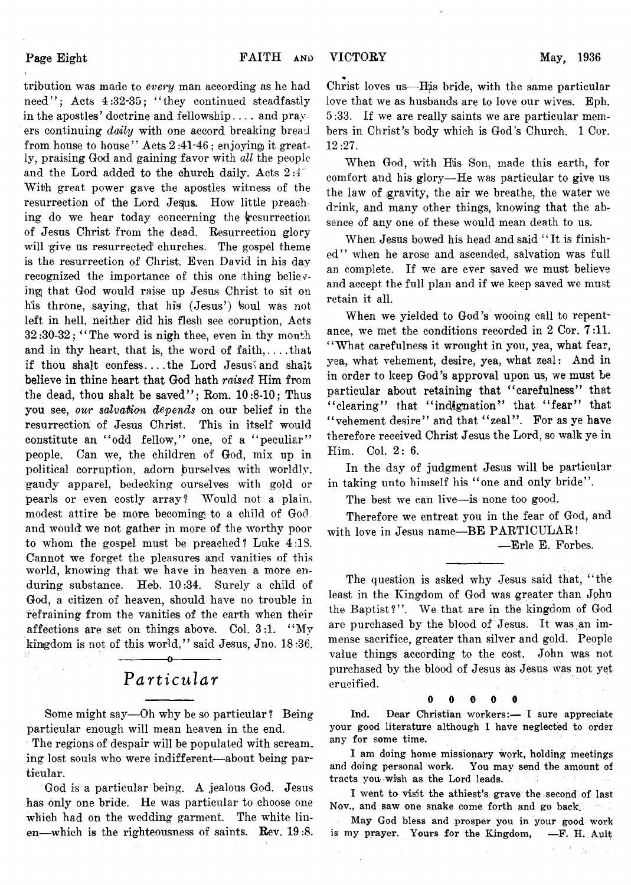**Page Eight**

**tribution was made to** *every* **man according as he had need" ; Acts 4:32-35; " they continued steadfastly in the apostles' doctrine and fellowship. . . . and pray ers continuing** *daily* **with one accord breaking bread from house to house" Acts 2 :41-46 ; enjoying it greatly, praising God and gaining favor with** *all* **the people and the Lord added to the church daily. Acts 2 :4" With great power gave the apostles witness of the** resurrection of the Lord Jesus. How little preaching do we hear today concerning the vesurrection **of Jesus Christ from the dead. Resurrection glory will give us resurrected churches. The gospel theme is the resurrection of Christ. Even David in his day recognized the importance of this one thing believing that God would raise up Jesus Christ to sit on** his throne, saying, that his (Jesus') soul was not **left in hell, neither did his flesh see coruption, Acts 3 2 :30-32; \* ' The word is nigh thee, even in thy mouth** and in thy heart, that is, the word of faith,....that **if thou shalt confess... .the Lord Jesus\ and shait believe in thine heart that God hath** *raised* **Him from the dead, thou shalt be saved" ; Rom. 10:8-10; Thus you see,** *our salvation depends* **on our belief in the resurrection of Jesus Christ. This in itself would** constitute an "odd fellow," one, of a "peculiar" **people. Can we, the children of God, mix up in political corruption, adorn burselves with worldly, gaudy apparel, bedecking ourselves with gold or pearls or even costly array? Would not a plain,** modest attire be more becoming to a child of God. **and would we not gather in more of the worthy poor to whom the gospel must be preached ? Luke 4 :1S. Cannot we forget the pleasures and vanities of this world, knowing that we have in heaven a more enduring substance. Heb. 10:34. Surely a child of God, a citizen of heaven, should have no trouble in refraining from the vanities of the earth when their affections are set on things above. Col. 3:1. " My kingdom is not of this world," said Jesus, Jno. 18 :36.**

### **---------------o---------------** *P articular*

**Some might say— Oh why be so particular ? Being particular enough will mean heaven in the end.**

**The regions of despair will be populated with screaming lost souls who were indifferent— about being particular.**

**God is a particular being. A jealous God. Jesus has only one bride. He was particular to choose one** which had on the wedding garment. The white linen—which is the righteousness of saints. Rev. 19:8.

\* **Christ loves us— His bride, with the same particular love that we as husbands are to love our wives. Eph. 5 :33. If we are really saints we are particular members in Christ's body which is God's Church. 1 Cor. 12:27.**

**When God, with His Son, made this earth, for comfort and his glory— He was particular to give us the law of gravity, the air we breathe, the water we drink, and many other things, knowing that the absence of any one of these would mean death to us.**

**When Jesus bowed his head and said " It is finished" when he arose and ascended, salvation was full an complete. If we are ever saved we must believe and accept the full plan and if we keep saved we must retain it all.**

**When we yielded to God's wooing call to repentance, we met the conditions recorded in 2 Cor. 7 :11. " What carefulness it wrought in you, yea, what fear, yea, what vehement, desire, yea, what zeal: And in in order to keep God's approval upon us, we must be particular about retaining that " carefulness" that " clearing" that " indignation" that " fear" that** " vehement desire" and that "zeal". For as ye have **therefore received Christ Jesus the Lord, so walk ye in Him. Col. 2 : 6.**

**In the day of judgment Jesus will be particular** in taking unto himself his "one and only bride".

The best we can live—is none too good.

**Therefore we entreat you in the fear of God, and** with love in Jesus name-BE PARTICULAR!

**— Erie E. Forbes.**

**The question is asked why Jesus said that, " the least in the Kingdom of God was greater than John the Baptist?" . We that are in the kingdom of God are purchased by the blood of Jesus. It was an immense sacrifice, greater than silver and gold. People value things according to the cost. John was not purchased by the blood of Jesus as Jesus was not yet crucified.**

**0 0 0 0 0**

Ind. Bear Christian workers:— I sure appreciate your good literature although I have neglected to order any for some time.

I am doing home missionary work, holding meetings and doing personal work. You may send the amount of tracts you wish as the Lord leads.

I went to visit the athiest's grave the second of last Nov., and saw one snake come forth and go back.  $\sim 10^6$ 

May God bless and prosper you in your good work is my prayer. Yours for the Kingdom, —F. H. Ault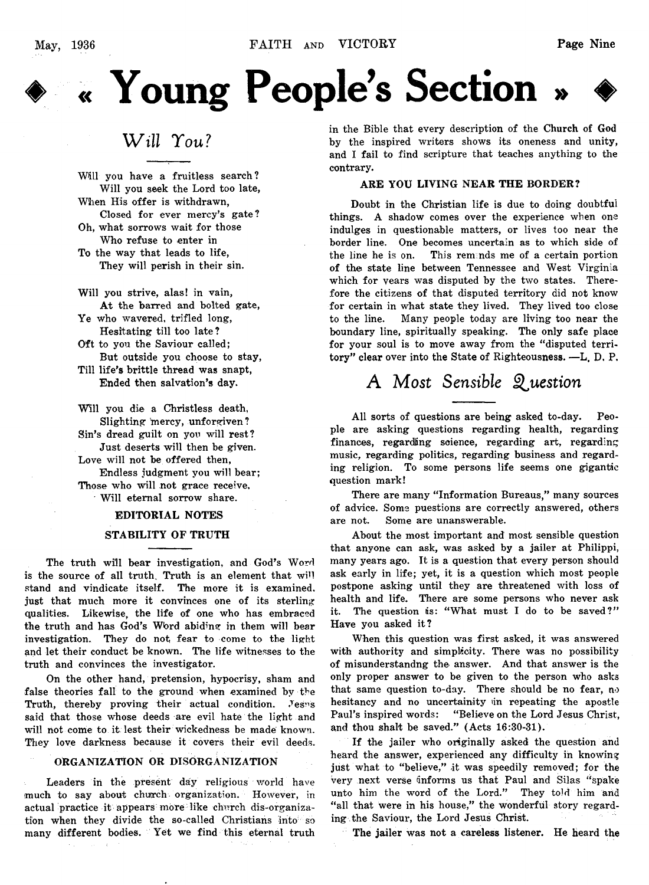



## *W ill You?*

Will you have a fruitless search? Will you seek the Lord too late,

When His offer is withdrawn,

Closed for ever mercy's gate? Oh, what sorrows wait for those Who refuse to enter in

To the way that leads to life, They will perish in their sin.

Will you strive, alas! in vain, At the barred and bolted gate,

Ye who wavered, trifled long,

Hesitating till too late? Oft to you the Saviour called;

But outside you choose to stay, Till life's brittle thread was snapt,

Ended then salvation's day.

Will you die a Christless death, Slighting mercy, unforgiven? Sin's dread guilt on you will rest? Just deserts will then be given. Love will not be offered then, Endless judgment you will bear; Those who will not grace receive. Will eternal sorrow share.

### EDITORIAL NOTES

### STABILITY OF TRUTH

The truth will bear investigation, and God's Word is the source of all truth. Truth is an element that will stand and vindicate itself. The more it is examined, just that much more it convinces one of its sterling qualities. Likewise, the life of one who has embraced the truth and has God's Wbrd abiding in them will bear investigation. They do not fear to come to the light and let their conduct be known. The life witnesses to the truth and convinces the investigator.

On the other hand, pretension, hypocrisy, sham and false theories fall to the ground when examined by the Truth, thereby proving their actual condition. Jesus said that those whose deeds are evil hate the light and will not come to it lest their wickedness be made known. They love darkness because it covers their evil deeds.

#### ORGANIZATION OR DISORGANIZATION

Leaders in the present day religious world have much to say about church organization. However, in actual practice it appears more like church dis-organization when they divide the so-called Christians into so many different bodies. Yet we find this eternal truth in the Bible that every description of the Church of God by the inspired writers shows its oneness and unity, and I fail to find scripture that teaches anything to the contrary.

### ARE YOU LIVING NEAR THE BORDER?

Doubt in the Christian life is due to doing doubtful things. A shadow comes over the experience when one indulges in questionable matters, or lives too near the border line. One becomes uncertain as to which side of the line he is on. This reminds me of a certain portion of the state line between Tennessee and West Virginia which for years was disputed by the two states. Therefore the citizens of that disputed territory did not know for certain in what state they lived. They lived too close to the line. Many people today are living too near the boundary line, spiritually speaking. The only safe place for your soul is to move away from the "disputed territory" clear over into the State of Righteousness. —L. D. P.

# A *Most Sensible Question*

All sorts of questions are being asked to-day. People are asking questions regarding health, regarding finances, regarding science, regarding art, regarding music, regarding politics, regarding business and regarding religion. To some persons life seems one gigantic question mark!

There are many "Information Bureaus," many sources of advice. Some puestions are correctly answered, others are not. Some are unanswerable.

About the most important and most sensible question that anyone can ask, was asked by a jailer at Philippi, many years ago. It is a question that every person should ask early in life; yet, it is a question which most people postpone asking until they are threatened with loss of health and life. There are some persons who never ask it. The question is: "What must I do to be saved?" Have you asked it?

When this question was first asked, it was answered with authority and simplicity. There was no possibility of misunderstandng the answer. And that answer is the only proper answer to be given to the person who asks that same question to-day. There should be no fear, no hesitancy and no uncertainity in repeating the apostle Paul's inspired words: "Believe on the Lord Jesus Christ, and thou shalt be saved." (Acts 16:30-31).

If the jailer who originally asked the question and heard the answer, experienced any difficulty in knowing just what to "believe," it was speedily removed; for the very next verse unforms us that Paul and Silas "spake unto him the word of the Lord." They told him and "all that were in his house," the wonderful story regarding the Saviour, the Lord Jesus Christ.

The jailer was not a careless listener. He heard the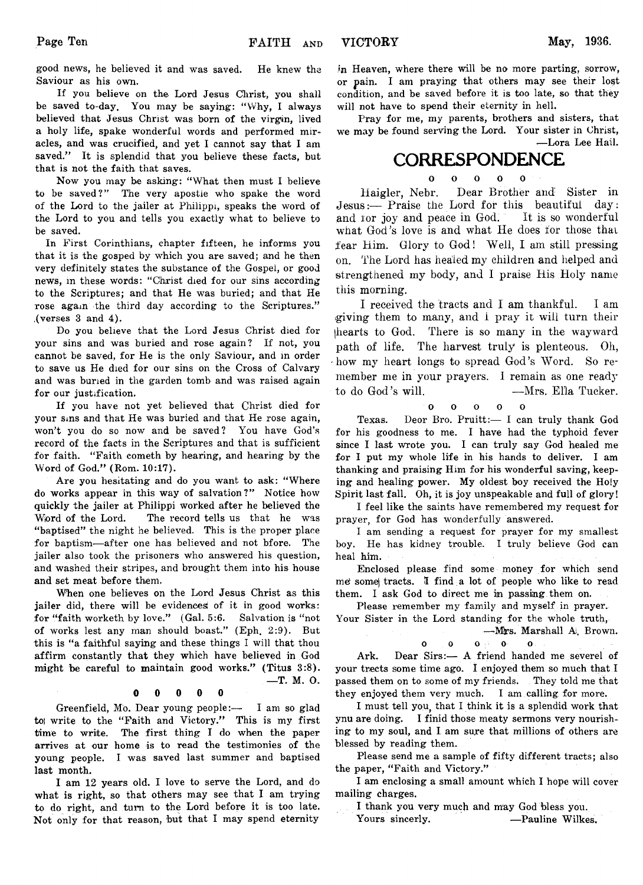good news, he believed it and was saved. He knew the Saviour as his own.

If you believe on the Lord Jesus Christ, you shall be saved to-day. You may be saying: " Why, I always believed that Jesus Christ was born of the virgin, lived a holy life, spake wonderful words and performed miracles, and was crucified, and yet I cannot say that I am saved." It is splendid that you believe these facts, but that is not the faith that saves.

Now you may be asking: " What then must I believe to be saved?" The very apostie who spake the word of the Lord to the jailer at Philippi, speaks the word of the Lord to you and tells you exactly what to believe to be saved.

In First Corinthians, chapter fifteen, he informs you that it is the gosped by which you are saved; and he then very definitely states the substance of the Gospel, or good news, in these words: "Christ died for our sins according to the Scriptures; and that He was buried; and that He rose again the third day according to the Scriptures." ,(verses 3 and 4).

Do you believe that the Lord Jesus Christ died for your sins and was buried and rose again? If not, you cannot be saved, for He is the only Saviour, and in order to save us He died for our sins on the Cross of Calvary and was buried in the garden tomb and was raised again for our justification.

If you have not yet believed that Christ died for your sins and that He was buried and that He rose again, won't you do so now and be saved? You have God's record of the facts in the Scriptures and that is sufficient for faith. "Faith cometh by hearing, and hearing by the Word of God." (Rom. 10:17).

Are you hesitating and do you want to ask: " Where do works appear in this way of salvation?" Notice how quickly the jailer at Philippi worked after he believed the Word of the Lord. The record tells us that he was "baptised" the night he believed. This is the proper place for baptism—after one has believed and not bfore. The jailer also took the prisoners who answered his question, and washed their stripes, and brought them into his house and set meat before them.

When one believes on the Lord Jesus Christ as this jailer did, there will be evidences of it in good works: for "faith worketh by love." (Gal. 5:6. Salvation is "not of works lest any man should boast." (Eph. 2:9). But this is "a faithful saying and these things I will that thou affirm constantly that they which have believed in God might be careful to maintain good works." (Titus 3:8). —T. M. O.

### **0 0 0 0 0**

Greenfield, Mo. Dear young people:— I am so glad to write to the "Faith and Victory." This is my first time to write. The first thing I do when the paper arrives at our home is to read the testimonies of the young people. I was saved last summer and baptised last month.

I am 12 years old. I love to serve the Lord, and do what is right, so that others may see that I am trying to do right, and turn to the Lord before it is too late. Not only for that reason, but that I may spend eternity

in Heaven, where there will be no more parting, sorrow, or pain. I am praying that others may see their lost condition, and be saved before it is too late, so that they will not have to spend their eternity in hell.

Pray for me, my parents, brothers and sisters, that we may be found serving the Lord. Your sister in Christ, —Lora Lee Hail.

### **CORRESPONDENCE**

**O O O O O**

**Haigler, Nebr. Dear Brother and: Sister in Jesus:— Praise the Lord for this beautiful day: and ior joy and peace in God. It is so wonderful what God's love is and what He does for those that fear Him. Glory to God! Well, I am still pressing on. The Lord has healed my children and helped and strengthened my body, and I praise His Holy name this morning.**

**I received the tracts and I am thankful. I am igiving them to many, and i pray it will turn their [hearts to God. There is so many in the wayward** path of life. The harvest truly is plenteous. Oh, **'how my heart longs to spread God's Word. So remember me in your prayers. I remain as one ready to do God's will. — Mrs. Elia Tucker,**

$$
0\qquad 0\qquad 0\qquad 0\qquad 0
$$

Texas. Deor Bro. Pruitt:— I can truly thank God for his goodness to me. I have had the typhoid fever since I last wrote you. I can truly say God healed me for I put my whole life in his hands to deliver. I am thanking and praising Him for his wonderful saving, keeping and healing power. My oldest boy received the Holy Spirit last fall. Oh, it is joy unspeakable and full of glory!

I feel like the saints have remembered my request for prayer, for God has wonderfully answered.

I am sending a request for prayer for my smallest boy. He has kidney trouble. I truly believe God can heal him.

Enclosed please find some money for which send me' some) tracts. I find a lot of people who like to read them. I ask God to direct me in passing them on.

Please remember my family and myself in prayer. Your Sister in the Lord standing for the whole truth,

—Mrs. Marshall A. Brown. **o o o o o**

Ark. Dear Sirs: - A friend handed me severel of your trects some time ago. I enjoyed them so much that I passed them on to some of my friends. They told me that they enjoyed them very much. I am calling for more.

I must tell you, that I think it is a splendid work that ynu are doing. I finid those meaty sermons very nourishing to my soul, and I am sure that millions of others are blessed by reading them.

Please send me a sample of fifty different tracts; also the paper, "Faith and Victory."

I am enclosing a small amount which I hope will cover mailing charges.

I thank you very much and may God bless you.

Yours sincerly. — Pauline Wilkes.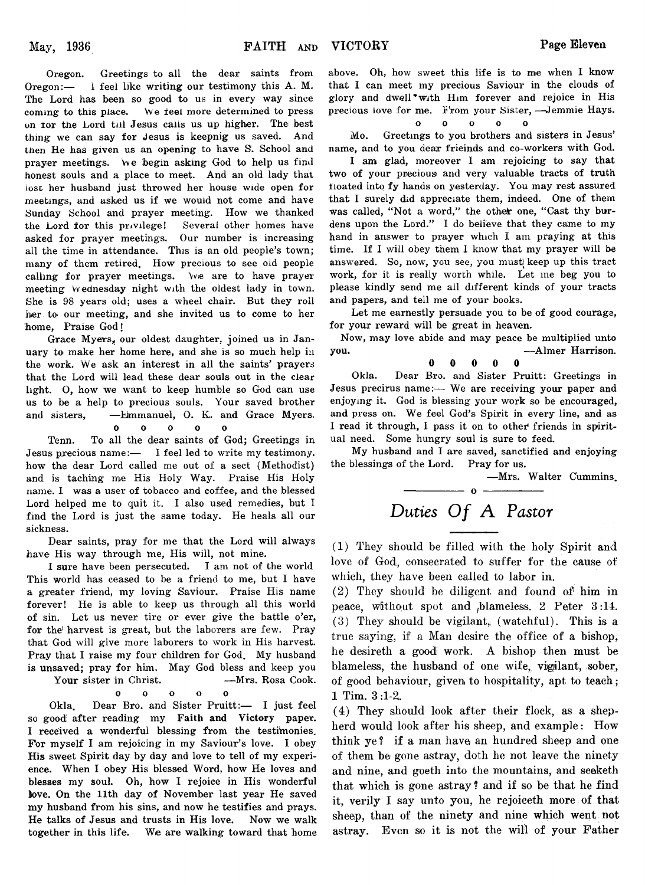Oregon. Greetings to all the dear saints from Oregon:— I feel like writing our testimony this A. M. The Lord has been so good to us in every way since coming to this place. We feel more determined to press on for the Lord till Jesus calls us up higher. The best thing we can say for Jesus is keepnig us saved. And then He has given us an opening to have S. School and prayer meetings. We begin asking God to help us find honest souls and a place to meet. And an old lady that iost her husband just throwed her house wide open for meetings, and asked us if we would not come and have Sunday School and prayer meeting. How we thanked the Lord for this privilege! Several other homes have asked for prayer meetings. Our number is increasing all the time in attendance. This is an old people's town; many of them retired. How precious to see old people calling for prayer meetings. We are to have prayer meeting Wednesday night with the oldest lady in town. She is 98 years old; uses a wheel chair. But they roll her to our meeting, and she invited us to come to her home, Praise God!

Grace Myers, our oldest daughter, joined us in January to make her home here, and she is so much help in the work. We ask an interest in all the saints' prayers that the Lord will lead these dear souls out in the clear light. O, how we want to keep humble so God can use us to be a help to precious souls. Your saved brother and sisters, —Emmanuel, O. K. and Grace Myers.

**0 0 0 0 0**

Tenn. To all the dear saints of God; Greetings in Jesus precious name:— I feel led to write my testimony. how the dear Lord called me out of a sect (Methodist) and is taching me His Holy Way. Praise His Holy name. I was a user of tobacco and coffee, and the blessed Lord helped me to quit it. I also used remedies, but I find the Lord is just the same today. He heals all our sickness.

Dear saints, pray for me that the Lord will always have His way through me, His will, not mine.

I sure have been persecuted. I am not of the world This world has ceased to be a friend to me, but I have a greater friend, my loving Saviour. Praise His name forever! He is able to keep us through all this world of sin. Let us never tire or ever give the battle o'er, for the harvest is great, but the laborers are few. Pray that God will give more laborers to work in His harvest. Pray that I raise my four children for God. My husband is unsaved; pray for him. May God bless and keep you Your sister in Christ. - Mrs. Rosa Cook.

**o o o o o**

Okla. Dear Bro. and Sister Pruitt:— I just feel so good after reading my Faith and Victory paper. I received a wonderful blessing from the testimonies. For myself I am rejoicing in my Saviour's love. I obey His sweet Spirit day by day and love to tell of my experience. When I obey His blessed Word, how He loves and blesses my soul. Oh, how I rejoice in His wonderful love. On the 11th day of November last year He saved my husband from his sins, and now he testifies and prays. He talks of Jesus and trusts in His love. Now we walk together in this life. We are walking toward that home

above. Oh, how sweet this life is to me when I know that I can meet my precious Saviour in the clouds of glory and dwell • with Him forever and rejoice in His precious love for me. From your Sister, -Jemmie Hays.

### **o o o o o**

Mo. Greetings to you brothers and sisters in Jesus' name, and to you dear frieinds and co-workers with God.

I am glad, moreover I am rejoicing to say that two of your precious and very valuable tracts of truth floated into fy hands on yesterday. You may rest assured that I surely did appreciate them, indeed. One of them was called, "Not a word," the other one, "Cast thy burdens upon the Lord." I do believe that they came to my hand in answer to prayer which I am praying at this time. If I will obey them 1 know that my prayer will be answered. So, now, you see, you must keep up this tract work, for it is really worth while. Let me beg you to please kindly send me ail different kinds of your tracts and papers, and tell me of your books.

Let me earnestly persuade you to be of good courage, for your reward will be great in heaven.

Now, may love abide and may peace be multiplied unto you. —Aimer Harrison.

**0 0 0 0 0**

Okla. Dear Bro. and Sister Pruitt: Greetings in Jesus precirus name:— We are receiving your paper and enjoying it. God is blessing your work so be encouraged, and press on. We feel God's Spirit in every line, and as I read it through, I pass it on to other friends in spiritual need. Some hungry soul is sure to feed.

My husband and I are saved, sanctified and enjoying the blessings of the Lord. Pray for us.

—Mrs. Walter Cummins.

# Duties Of A Pastor

 $- 0 -$ 

**(1) They should be filled with the holy Spirit and** love of God, consecrated to suffer for the cause of **which, they have been called to labor in.**

**(2) They should be diligent and found of him in peace, without spot and ^blameless. 2 Peter 3 :11. (3) They should be vigilant,, (watchful). This is a true saying, if a Man desire the office of a bishop, he desireth a good work. A bishop then must be** blameless, the husband of one wife, vigilant, sober, **of good behaviour, given to hospitality, apt to teach; 1 Tim. 3:1-2,.**

**(4) They should look after their flock, as a shepherd would look after his sheep, and example: How think ye? if a man have an hundred sheep and one of them be gone astray, doth he not leave the ninety and nine, and goeth into the mountains, and seeketh that which is gone astray ? and if so be that he find it, verily I say unto you, he rejoiceth more of that sheep, than of the ninety and nine which went not astray. Even so it is not the will of your Father**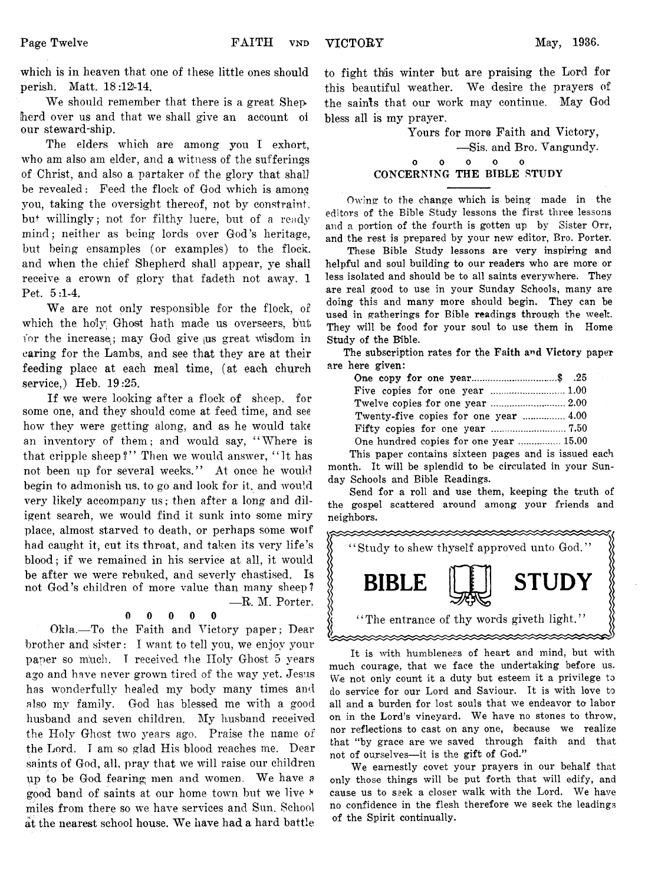**which is in heaven that one of these little ones should perish.** Matt. 18:12-14.

We should remember that there is a great Shep-**Jierd over us and that we shall give an account oi our steward-ship.**

**The elders which are among you I exhort, who am also am elder, and a witness of the sufferings of Christ, and also a partaker of the glory that shal] be revealed: Feed the flock of God which is among you, taking the oversight thereof, not by constraint, but willingly ; not for filthy lucre, but of a ready mind; neither as being lords over God's heritage, but being ensamples (or examples) to the flock, and when the chief Shepherd shall appear, ye shall receive a crown of glory that fadeth not away. 1 Pet. 5:1-4.**

We are not only responsible for the flock, of which the holy Ghost hath made us overseers, but for the increase; may God give us great wisdom in **caring for the Lambs, and see that they are at their feeding place at each meal time, (at each church service,) Heb. 19:25.**

**If we were looking after a flock of sheep, for some one, and they should come at feed time, and see how they were getting along, and as he would take an inventory of them; and would say, " Where is that cripple sheep?" Then we would answer, " It has not been up for several weeks. ' ' At once he would begin to admonish us, to go and look for it. and would** very likely accompany us; then after a long and dil**igent search, we would find it sunk into some miry place, almost starved to death, or perhaps some wolf had caught it, cut its throat, and taken its very life's blood; if we remained in his service at all, it would be after we were rebuked, and severly chastised. Is not God's children of more value than many sheep? — R. M. Porter.**

### **0 0 0 0 0**

**Okla.— To the Faith and Victory paper; Dear brother and sister: I want to tell you, we enjoy your paper so m!uch. T received the Holy Ghost 5 years ago and have never grown tired of the way yet. Jesus has wonderfully healed my body many times and also my family. God has blessed me with a good husband and seven children. My husband received the Holy Ghost two years ago. Praise the name of the Lord. I am so glad His blood reaches me. Dear saints of God, all, pray that we will raise our children** up to be God fearing; men and women. We have a **good band of saints at our home town but we live \* miles from there so we have services and Sun. School** at the nearest school house. We have had a hard battle

**to fight th!is winter but are praising the Lord for** this beautiful weather. We desire the prayers of **the sainls that our work may continue. May God bless all is my prayer.**

> **Yours for more Faith and Victory, — Sis. and Bro. Vangundy. 0 0 0 0 0** CONCERNING THE BIBLE STUDY

Owing to the change which is being made in the editors of the Bible Study lessons the first three lessons and a portion of the fourth is gotten up by Sister Orr, and the rest is prepared by your new editor, Bro. Porter.

These Bible Study lessons are very inspiring and helpful and soul building to our readers who are more or less isolated and should be to all saints everywhere. They are real good to use in your Sunday Schools, many are doing this and many more should begin. They can be used in gatherings for Bible readings through the week. They will be food for your soul to use them in Home Study of the Bible.

The subscription rates for the Faith and Victory paper are here given:

| One copy for one year\$ .25            |  |
|----------------------------------------|--|
|                                        |  |
|                                        |  |
|                                        |  |
|                                        |  |
| One hundred copies for one year  15.00 |  |

This paper contains sixteen pages and is issued each month. It will be splendid to be circulated in your Sunday Schools and Bible Readings.

Send for a roll and use them, keeping the truth of the gospel scattered around among your friends and neighbors.



It is with humbleness of heart and mind, but with much courage, that we face the undertaking before us. We not only count it a duty but esteem it a privilege to do service for our Lord and Saviour. It is with love to all and a burden for lost souls that we endeavor to labor on in the Lord's vineyard. We have no stones to throw, nor reflections to cast on any one, because we realize that "by grace are we saved through faith and that not of ourselves—it is the gift of God."

We earnestly covet your prayers in our behalf that only those things will be put forth that will edify, and cause us to seek a closer walk with the Lord. We have no confidence in the flesh therefore we seek the leadings of the Spirit continually.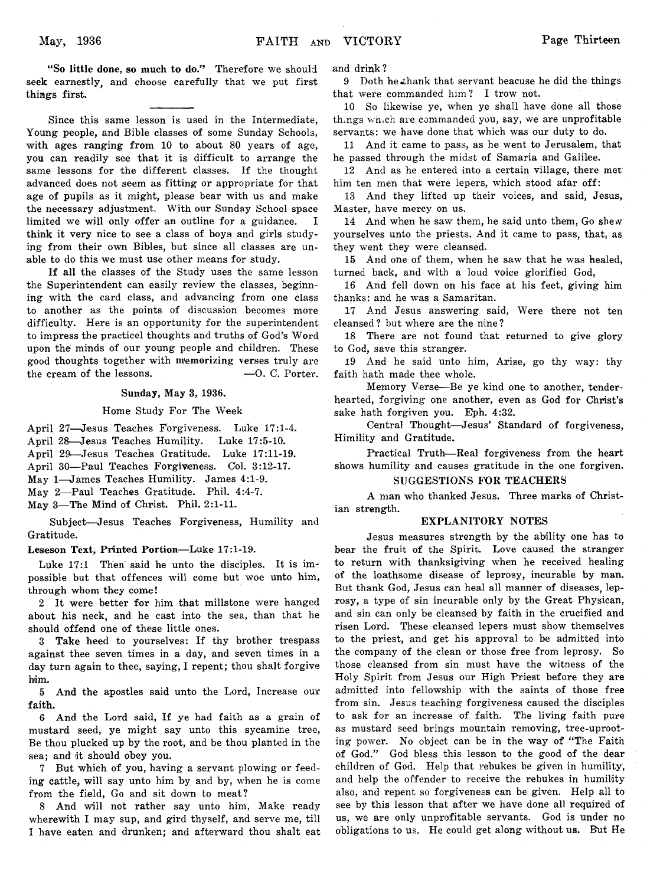"So little done, so much to do." Therefore we should seek earnestly, and choose carefully that we put first things first.

Since this same lesson is used in the Intermediate, Young people, and Bible classes of some Sunday Schools, with ages ranging from 10 to about 80 years of age. you can readily see that it is difficult to arrange the same lessons for the different classes. If the thought advanced does not seem as fitting or appropriate for that age of pupils as it might, please bear with us and make the necessary adjustment. With our Sunday School space limited we will only offer an outline for a guidance. I think it very nice to see a class of boys and girls studying from their own Bibles, but since all classes are unable to do this we must use other means for study.

If all the classes of the Study uses the same lesson the Superintendent can easily review the classes, beginning with the card class, and advancing from one class to another as the points of discussion becomes more difficulty. Here is an opportunity for the superintendent to impress the practicel thoughts and truths of God's Word upon the minds of our young people and children. These good thoughts together with memorizing verses truly are the cream of the lessons.  $-0$ . C. Porter.

### Sunday, May 3, 1936.

### Home Study For The Week

April 27—Jesus Teaches Forgiveness. Luke 17:1-4.

April 28—Jesus Teaches Humility. Luke 17:5-10. April 29—Jesus Teaches Gratitude. Luke 17:11-19.

April 30—Paul Teaches Forgiveness. Col. 3:12-17.

May 1—James Teaches Humility. James 4:1-9.

May 2—Paul Teaches Gratitude. Phil. 4:4-7.

May 3—The Mind of Christ. Phil. 2:1-11.

Subject—Jesus Teaches Forgiveness, Humility and Gratitude.

### Leseson Text, Printed Portion—Luke 17:1-19.

Luke 17:1 Then said he unto the disciples. It is impossible but that offences will come but woe unto him, through whom they come!

2 It were better for him that millstone were hanged about his neck, and he cast into the sea, than that he should offend one of these little ones.

3 Take heed to yourselves: If thy brother trespass against thee seven times in a day, and seven times in a day turn again to thee, saying, I repent; thou shalt forgive him.

5 And the apostles said unto the Lord, Increase our faith.

6 And the Lord said, If ye had faith as a grain of mustard seed, ye might say unto this sycamine tree, Be thou plucked up by the root, and be thou planted in the sea; and it should obey you.

7 But which of you, having a servant plowing or feeding cattle, will say unto him by and by, when he is come from the field, Go and sit down to meat?

8 And will not rather say unto him, Make ready wherewith I may sup, and gird thyself, and serve me, till 1 have eaten and drunken; and afterward thou shalt eat and drink?

9 Doth he thank that servant beacuse he did the things that were commanded him? I trow not.

10 So likewise ye, when ye shall have done all those th ngs which are commanded you, say, we are unprofitable servants: we have done that which was our duty to do.

11 And it came to pass, as he went to Jerusalem, that he passed through the midst of Samaria and Galilee.

12 And as he entered into a certain village, there met/ him ten men that were lepers, which stood afar off:

13 And they lifted up their voices, and said, Jesus, Master, have mercy on us.

14 And when he saw them, he said unto them, Go shew yourselves unto the priests. And it came to pass, that, as they went they were cleansed.

15 And one of them, when he saw that he was healed, turned back, and with a loud voice glorified God,

16 And fell down on his face at his feet, giving him thanks: and he was a Samaritan.

17 And Jesus answering said, Were there not ten cleansed ? but where are the nine ?

18 There are not found that returned to give glory to God, save this stranger.

19 And he said unto him, Arise, go thy way: thy faith hath made thee whole.

Memory Verse—Be ye kind one to another, tenderhearted, forgiving one another, even as God for Christ's sake hath forgiven you. Eph. 4:32.

Central Thought—Jesus' Standard of forgiveness, Himility and Gratitude.

Practical Truth—Real forgiveness from the heart shows humility and causes gratitude in the one forgiven.

### SUGGESTIONS FOR TEACHERS

A man who thanked Jesus. Three marks of Christian strength.

### EXPLANITORY NOTES

Jesus measures strength by the ability one has to bear the fruit of the Spirit. Love caused the stranger to return with thanksigiving when he received healing of the loathsome disease of leprosy, incurable by man. But thank God, Jesus can heal all manner of diseases, leprosy, a type of sin incurable only by the Great Physican, and sin can only be cleansed, by faith in the crucified and risen Lord. These cleansed lepers must show themselves to the priest, and get his approval to be admitted into the company of the clean or those free from leprosy. So those cleansed from sin must have the witness of the Holy Spirit from Jesus our High Priest before they are admitted into fellowship with the saints of those free from sin. Jesus teaching forgiveness caused the disciples to ask for an increase of faith. The living faith pure as mustard seed brings mountain removing, tree-uprooting power. No object can be in the way of "The Faith" of God." God bless this lesson to the good of the dear children of God. Help that rebukes be given in humility, and help the offender to receive the rebukes in humility also, and repent so forgiveness can be given. Help all to see by this lesson that after we have done all required of us, we are only unprofitable servants. God is under no obligations to us. He could get along without us. But He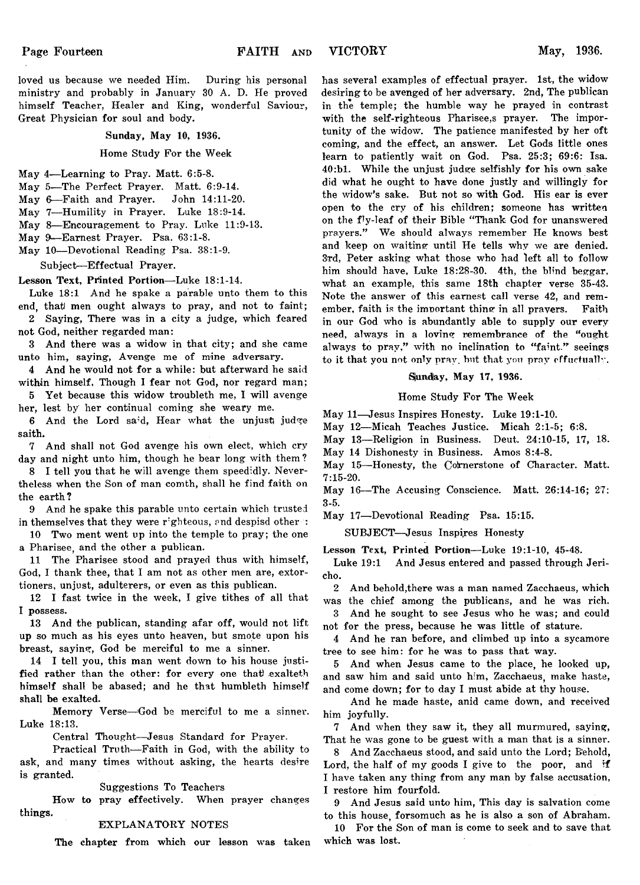loved us because we needed Him. During his personal ministry and probably in January 30 A. D. He proved himself Teacher, Healer and King, wonderful Saviour, Great Physician for soul and body.

### Sunday, May 10, 1936.

Home Study For the Week

- May 4—Learning to Pray. Matt. 6:5-8.
- May 5—The Perfect Prayer. Matt. 6:9-14.
- May 6— Faith and Prayer. John 14:11-20.
- May 7—Humility in Prayer. Luke 18:9-14.
- May 8—Encouragement to Pray. Luke 11:9-13.
- May 9—Earnest Prayer. Psa. 63:1-8.
- May 10—Devotional Reading Psa. 38:1-9.

Subject—Effectual Prayer.

**Lesson Text, Printed Portion**—Luke 18:1-14.

Luke 18:1 And he spake a parable unto them to this end, that) men ought always to pray, and not to faint;

2 Saying, There was in a city a judge, which feared not God, neither regarded man:

3 And there was a widow in that city; and she came unto him, saying, Avenge me of mine adversary.

4 And he would not for a while: but afterward he said within himself, Though I fear not God, nor regard man;

5 Yet because this widow troubleth me, I will avenge her, lest by her continual coming she weary me.

6 And the Lord said, Hear what the unjust judge saith.

7 And shall not God avenge his own elect, which cry day and night unto him, though he bear long with them?

8 I tell you that he will avenge them speedidly. Nevertheless when the Son of man comth, shall he find faith on the earth?

9 And he spake this parable unto certain which trusted in themselves that they were righteous, and despisd other :

10 Two ment went up into the temple to pray; the one a Pharisee, and the other a publican.

11 The Pharisee stood and prayed thus with himself, God, I thank thee, that I am not as other men are, extortioners, unjust, adulterers, or even as this publican.

12 I fast twice in the week, I give tithes of all that I possess.

13 And the publican, standing afar off, would not lift up so much as his eyes unto heaven, but smote upon his breast, saying, God be merciful to me a sinner.

14 I tell you, this man went down to his house justified rather than the other: for every one that exalteth himself shall be abased; and he that humbleth himself shall be exalted.

Memory Verse—God be merciful to me a sinner. Luke 18:13.

Central Thought—Jesus Standard for Prayer.

Practical Truth—Faith in God, with the ability to ask, and many times without asking, the hearts desire is granted.

Suggestions To Teachers

How to pray effectively. When prayer changes things.

#### EXPLANATORY NOTES

The chapter from which our lesson was taken

has several examples of effectual prayer. 1st, the widow desiring to be avenged of her adversary. 2nd, The publican in the temple; the humble way he prayed in contrast with the self-righteous Pharisee,s prayer. The importunity of the widow. The patience manifested by her oft coming, and the effect, an answer. Let Gods little ones learn to patiently wait on God. Psa. 25:3; 69:6: Isa. 40:bl. While the unjust judge selfishly for his own sake did what he ought to have done justly and willingly for the widow's sake. But not so with God. His ear is ever open to the cry of his children; someone has written on the fly-leaf of their Bible " Thank God for unanswered prayers." We should always remember He knows best and keep on waiting until He tells why we are denied. 3rd, Peter asking what those who had left all to follow him should have, Luke 18:28-30. 4th, the blind beggar, what an example, this same 18th chapter verse 35-43. Note the answer of this earnest call verse 42, and remember, faith is the imnortant thing in all prayers. Faith in our God who is abundantly able to supply our every need, always in a loving remembrance of the "ought always to pray," with no inclination to "faint." seeings to it that you not only pray, but that you pray effuctually.

#### Sunday, May 17, 1936.

### Home Study For The Week

May 11—Jesus Inspires Honesty. Luke 19:1-10.

May 12—Micah Teaches Justice. Micah 2:1-5; 6:8.

May 13—Religion in Business. Deut. 24:10-15, 17, 18.

May 14 Dishonesty in Business. Amos 8:4-8.

May 15-Honesty, the Cornerstone of Character. Matt. 7:15-20.

May 16—The Accusing Conscience. Matt. 26:14-16; 27: 3-5.

May 17—Devotional Reading Psa. 15:15.

SUBJECT—Jesus Inspires Honesty

Lesson Text, Printed Portion—Luke 19:1-10, 45-48.

Luke 19:1 And Jesus entered and passed through Jericho.

2 And behold,there was a man named Zacchaeus, which was the chief among the publicans, and he was rich.

3 And he sought to see Jesus who he was; and could not for the press, because he was little of stature.

4 And he ran before, and climbed up into a sycamore tree to see him: for he was to pass that way.

5 And when Jesus came to the place, he looked up, and saw him and said unto him, Zacchaeus, make haste, and come down; for to day I must abide at thy house.

And he made haste, anid came down, and received him joyfully.

7 And when they saw it, they all murmured, saying, That he was gone to be guest with a man that is a sinner.

8 And Zacchaeus stood, and said unto the Lord; Behold, Lord, the half of my goods I give to the poor, and if I have taken any thing from any man by false accusation, I restore him fourfold.

9 And Jesus said unto him, This day is salvation come to this house, forsomuch as he is also a son of Abraham.

10 For the Son of man is come to seek and to save that which was lost.